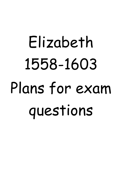# Elizabeth 1558-1603 Plans for exam questions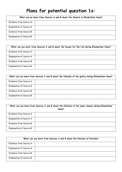## **Plans for potential question 1s:**

| What can we learn from Sources A and B about the theatre in Elizabethan times? |  |
|--------------------------------------------------------------------------------|--|
| Evidence from Source A:                                                        |  |
| Explanation of Source A:                                                       |  |
| Evidence from Source B:                                                        |  |
| <b>Explanation of Source B:</b>                                                |  |

| What can you learn from Sources A and B about the houses for the rich during Elizabethan times? |  |
|-------------------------------------------------------------------------------------------------|--|
| Evidence from Source A:                                                                         |  |
| <b>Explanation of Source A:</b>                                                                 |  |
| Evidence from Source B:                                                                         |  |
| <b>Explanation of Source B:</b>                                                                 |  |

|                                 | What can you learn from Sources A and B about the lifestyle of the gentry during Elizabethan times? |
|---------------------------------|-----------------------------------------------------------------------------------------------------|
| Evidence from Source A:         |                                                                                                     |
| Explanation of Source A:        |                                                                                                     |
| Evidence from Source B:         |                                                                                                     |
| <b>Explanation of Source B:</b> |                                                                                                     |

| What can you learn from Sources A and B about the lifestyle of the lower classes during Elizabethan<br>times? |  |
|---------------------------------------------------------------------------------------------------------------|--|
| Evidence from Source A:                                                                                       |  |
| <b>Explanation of Source A:</b>                                                                               |  |
| Evidence from Source B:                                                                                       |  |
| <b>Explanation of Source B:</b>                                                                               |  |

| What can you learn from Sources A and B about the lifestyle of Puritans? |  |
|--------------------------------------------------------------------------|--|
| Evidence from Source A:                                                  |  |
| Explanation of Source A:                                                 |  |
| Evidence from Source B:                                                  |  |
| <b>Explanation of Source B:</b>                                          |  |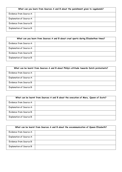| What can you learn from Sources A and B about the punishment given to vagabonds? |  |
|----------------------------------------------------------------------------------|--|
| Evidence from Source A:                                                          |  |
| <b>Explanation of Source A:</b>                                                  |  |
| Evidence from Source B:                                                          |  |
| <b>Explanation of Source B:</b>                                                  |  |

| What can you learn from Sources A and B about cruel sports during Elizabethan times? |  |
|--------------------------------------------------------------------------------------|--|
| Evidence from Source A:                                                              |  |
| <b>Explanation of Source A:</b>                                                      |  |
| Evidence from Source B:                                                              |  |
| <b>Explanation of Source B:</b>                                                      |  |

| What can be learnt from Sources A and B about Philip's attitude towards Dutch protestants? |  |
|--------------------------------------------------------------------------------------------|--|
| Evidence from Source A:                                                                    |  |
| <b>Explanation of Source A:</b>                                                            |  |
| Evidence from Source B:                                                                    |  |
| <b>Explanation of Source B:</b>                                                            |  |

| What can be learnt from Sources A and B about the execution of Mary, Queen of Scots? |  |
|--------------------------------------------------------------------------------------|--|
| Evidence from Source A:                                                              |  |
| <b>Explanation of Source A:</b>                                                      |  |
| Evidence from Source B:                                                              |  |
| <b>Explanation of Source B:</b>                                                      |  |

|                                 | What can be learnt from Sources A and B about the excommunication of Queen Elizabeth? |
|---------------------------------|---------------------------------------------------------------------------------------|
| Evidence from Source A:         |                                                                                       |
| <b>Explanation of Source A:</b> |                                                                                       |
| Evidence from Source B:         |                                                                                       |
| <b>Explanation of Source B:</b> |                                                                                       |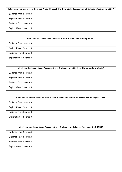| What can you learn from Sources A and B about the trial and interrogation of Edmund Campion in 1581? |  |
|------------------------------------------------------------------------------------------------------|--|
| Evidence from Source A:                                                                              |  |
| <b>Explanation of Source A:</b>                                                                      |  |
| Evidence from Source B:                                                                              |  |
| <b>Explanation of Source B:</b>                                                                      |  |

| What can you learn from Sources A and B about the Babington Plot? |  |
|-------------------------------------------------------------------|--|
| Evidence from Source A:                                           |  |
| <b>Explanation of Source A:</b>                                   |  |
| Evidence from Source B:                                           |  |
| <b>Explanation of Source B:</b>                                   |  |

| What can be learnt from Sources A and B about the attack on the Armada in Calais? |  |  |
|-----------------------------------------------------------------------------------|--|--|
| Evidence from Source A:                                                           |  |  |
| <b>Explanation of Source A:</b>                                                   |  |  |
| Evidence from Source B:                                                           |  |  |
| <b>Explanation of Source B:</b>                                                   |  |  |

| What can be learnt from Sources A and B about the battle of Gravelines in August 1588? |  |  |
|----------------------------------------------------------------------------------------|--|--|
| Evidence from Source A:                                                                |  |  |
| <b>Explanation of Source A:</b>                                                        |  |  |
| Evidence from Source B:                                                                |  |  |
| <b>Explanation of Source B:</b>                                                        |  |  |

| What can you learn from Sources A and B about the Religious Settlement of 1559? |  |
|---------------------------------------------------------------------------------|--|
| Evidence from Source A:                                                         |  |
| <b>Explanation of Source A:</b>                                                 |  |
| Evidence from Source B:                                                         |  |
| <b>Explanation of Source B:</b>                                                 |  |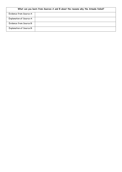| What can you learn from Sources A and B about the reasons why the Armada failed? |  |  |
|----------------------------------------------------------------------------------|--|--|
| Evidence from Source A:                                                          |  |  |
| <b>Explanation of Source A:</b>                                                  |  |  |
| Evidence from Source B:                                                          |  |  |
| <b>Explanation of Source B:</b>                                                  |  |  |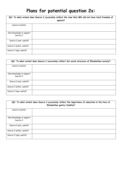## **Plans for potential question 2s:**

| Q2: To what extent does Source C accurately reflect the view that MPs did not have total freedom of<br>speech? |  |
|----------------------------------------------------------------------------------------------------------------|--|
| Source C points:                                                                                               |  |
| Own knowledge to support<br>Source C:                                                                          |  |
| Source C year, useful?                                                                                         |  |
| Source C author, useful?                                                                                       |  |
| Source C type, useful?                                                                                         |  |

| Q2: To what extent does Source C accurately reflect the social structure of Elizabethan society? |  |
|--------------------------------------------------------------------------------------------------|--|
| Source C points:                                                                                 |  |
| Own knowledge to support<br>Source C:                                                            |  |
| Source C year, useful?                                                                           |  |
| Source C author, useful?                                                                         |  |
| Source C type, useful?                                                                           |  |

| Q2: To what extent does Source C accurately reflect the importance of education in the lives of<br>Elizabethan gentry families? |  |
|---------------------------------------------------------------------------------------------------------------------------------|--|
| Source C points:                                                                                                                |  |
| Own knowledge to support<br>Source C:                                                                                           |  |
| Source C year, useful?                                                                                                          |  |
| Source C author, useful?                                                                                                        |  |
| Source C type, useful?                                                                                                          |  |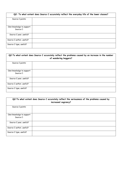| Q2: To what extent does Source C accurately reflect the everyday life of the lower classes? |  |  |
|---------------------------------------------------------------------------------------------|--|--|
| Source C points:                                                                            |  |  |
| Own knowledge to support<br>Source C:                                                       |  |  |
| Source C year, useful?                                                                      |  |  |
| Source C author, useful?                                                                    |  |  |
| Source C type, useful?                                                                      |  |  |

| Q2: To what extent does Source C accurately reflect the problems caused by an increase in the number<br>of wandering beggars? |  |  |
|-------------------------------------------------------------------------------------------------------------------------------|--|--|
| Source C points:                                                                                                              |  |  |
| Own knowledge to support<br>Source C:                                                                                         |  |  |
| Source C year, useful?                                                                                                        |  |  |
| Source C author, useful?                                                                                                      |  |  |
| Source C type, useful?                                                                                                        |  |  |

| Q2:To what extent does Source C accurately reflect the seriousness of the problems caused by<br>increased vagrancy? |  |  |
|---------------------------------------------------------------------------------------------------------------------|--|--|
| Source C points:                                                                                                    |  |  |
| Own knowledge to support<br>Source C:                                                                               |  |  |
| Source C year, useful?                                                                                              |  |  |
| Source C author, useful?                                                                                            |  |  |
| Source C type, useful?                                                                                              |  |  |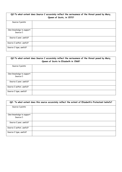| Q2: To what extent does Source C accurately reflect the seriousness of the threat posed by Mary,<br>Queen of Scots, in 1572? |  |
|------------------------------------------------------------------------------------------------------------------------------|--|
| Source C points:                                                                                                             |  |
| Own knowledge to support<br>Source C:                                                                                        |  |
| Source C year, useful?                                                                                                       |  |
| Source C author, useful?                                                                                                     |  |
| Source C type, useful?                                                                                                       |  |

| Q2:To what extent does Source C accurately reflect the seriousness of the threat posed by Mary,<br>Queen of Scots to Elizabeth in 1568? |  |
|-----------------------------------------------------------------------------------------------------------------------------------------|--|
| Source C points:                                                                                                                        |  |
| Own knowledge to support<br>Source C:                                                                                                   |  |
| Source C year, useful?                                                                                                                  |  |
| Source C author, useful?                                                                                                                |  |
| Source C type, useful?                                                                                                                  |  |

| Q2: To what extent does this source accurately reflect the extent of Elizabeth's Protestant beliefs? |  |  |
|------------------------------------------------------------------------------------------------------|--|--|
| Source C points:                                                                                     |  |  |
| Own knowledge to support<br>Source C:                                                                |  |  |
| Source C year, useful?                                                                               |  |  |
| Source C author, useful?                                                                             |  |  |
| Source C type, useful?                                                                               |  |  |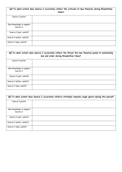| Q2:To what extent does Source C accurately reflect the criticism of new theatres during Elizabethan<br>times? |  |  |
|---------------------------------------------------------------------------------------------------------------|--|--|
| Source C points:                                                                                              |  |  |
| Own knowledge to support<br>Source C:                                                                         |  |  |
| Source C year, useful?                                                                                        |  |  |
| Source C author, useful?                                                                                      |  |  |
| Source C type, useful?                                                                                        |  |  |

| Q2: To what extent does Source C accurately reflect the threat the new theatres posed to maintaining<br>law and order during Elizabethan times? |  |  |
|-------------------------------------------------------------------------------------------------------------------------------------------------|--|--|
| Source C points:                                                                                                                                |  |  |
| Own knowledge to support<br>Source C:                                                                                                           |  |  |
| Source C year, useful?                                                                                                                          |  |  |
| Source C author, useful?                                                                                                                        |  |  |
| Source C type, useful?                                                                                                                          |  |  |

| Q2:To what extent does Source C accurately reflects attitudes towards rough sports during this period? |  |  |
|--------------------------------------------------------------------------------------------------------|--|--|
| Source C points:                                                                                       |  |  |
| Own knowledge to support<br>Source C:                                                                  |  |  |
| Source C year, useful?                                                                                 |  |  |
| Source C author, useful?                                                                               |  |  |
| Source C type, useful?                                                                                 |  |  |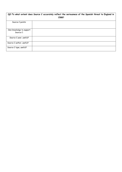|                                       | Q2:To what extent does Source C accurately reflect the seriousness of the Spanish threat to England in<br>1588? |
|---------------------------------------|-----------------------------------------------------------------------------------------------------------------|
| Source C points:                      |                                                                                                                 |
| Own knowledge to support<br>Source C: |                                                                                                                 |
| Source C year, useful?                |                                                                                                                 |
| Source C author, useful?              |                                                                                                                 |
| Source C type, useful?                |                                                                                                                 |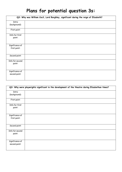## **Plans for potential question 3s:**

|                                  | Q3: Why was William Cecil, Lord Burghley, significant during the reign of Elizabeth? |  |
|----------------------------------|--------------------------------------------------------------------------------------|--|
| Intro<br>(background):           |                                                                                      |  |
| First point:                     |                                                                                      |  |
| Info for first<br>point:         |                                                                                      |  |
| Significance of<br>first point:  |                                                                                      |  |
| Second point:                    |                                                                                      |  |
| Info for second<br>point:        |                                                                                      |  |
| Significance of<br>second point: |                                                                                      |  |

|                                  | Q3: Why were playwrights significant in the development of the theatre during Elizabethan times? |
|----------------------------------|--------------------------------------------------------------------------------------------------|
| Intro<br>(background):           |                                                                                                  |
| First point:                     |                                                                                                  |
| Info for first<br>point:         |                                                                                                  |
| Significance of<br>first point:  |                                                                                                  |
| Second point:                    |                                                                                                  |
| Info for second<br>point:        |                                                                                                  |
| Significance of<br>second point: |                                                                                                  |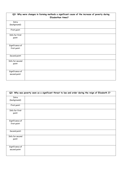| Q3: Why were changes in farming methods a significant cause of the increase of poverty during<br><b>Elizabethan times?</b> |  |
|----------------------------------------------------------------------------------------------------------------------------|--|
| Intro                                                                                                                      |  |
| (background):                                                                                                              |  |
| First point:                                                                                                               |  |
| Info for first                                                                                                             |  |
| point:                                                                                                                     |  |
|                                                                                                                            |  |
| Significance of                                                                                                            |  |
| first point:                                                                                                               |  |
| Second point:                                                                                                              |  |
| Info for second                                                                                                            |  |
| point:                                                                                                                     |  |
|                                                                                                                            |  |
| Significance of                                                                                                            |  |
| second point:                                                                                                              |  |

|                 | Q3: Why was poverty seen as a significant threat to law and order during the reign of Elizabeth I? |  |
|-----------------|----------------------------------------------------------------------------------------------------|--|
| Intro           |                                                                                                    |  |
| (background):   |                                                                                                    |  |
| First point:    |                                                                                                    |  |
| Info for first  |                                                                                                    |  |
| point:          |                                                                                                    |  |
|                 |                                                                                                    |  |
| Significance of |                                                                                                    |  |
| first point:    |                                                                                                    |  |
|                 |                                                                                                    |  |
| Second point:   |                                                                                                    |  |
| Info for second |                                                                                                    |  |
| point:          |                                                                                                    |  |
|                 |                                                                                                    |  |
| Significance of |                                                                                                    |  |
| second point:   |                                                                                                    |  |
|                 |                                                                                                    |  |
|                 |                                                                                                    |  |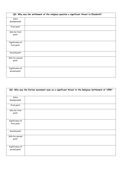| Q3: Why was the settlement of the religious question a significant threat to Elizabeth? |  |
|-----------------------------------------------------------------------------------------|--|
| Intro<br>(background):                                                                  |  |
| First point:                                                                            |  |
| Info for first<br>point:                                                                |  |
| Significance of<br>first point:                                                         |  |
| Second point:                                                                           |  |
| Info for second<br>point:                                                               |  |
| Significance of<br>second point:                                                        |  |

| Q3: Why was the Puritan movement seen as a significant threat to the Religious Settlement of 1559? |  |
|----------------------------------------------------------------------------------------------------|--|
|                                                                                                    |  |
| Intro                                                                                              |  |
| (background):                                                                                      |  |
| First point:                                                                                       |  |
| Info for first                                                                                     |  |
| point:                                                                                             |  |
|                                                                                                    |  |
| Significance of                                                                                    |  |
| first point:                                                                                       |  |
|                                                                                                    |  |
| Second point:                                                                                      |  |
| Info for second                                                                                    |  |
| point:                                                                                             |  |
|                                                                                                    |  |
|                                                                                                    |  |
| Significance of                                                                                    |  |
| second point:                                                                                      |  |
|                                                                                                    |  |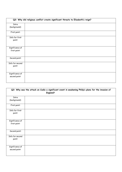| Q3: Why did religious conflict create significant threats to Elizabeth's reign? |  |  |
|---------------------------------------------------------------------------------|--|--|
|                                                                                 |  |  |
| Intro                                                                           |  |  |
| (background):                                                                   |  |  |
| First point:                                                                    |  |  |
| Info for first                                                                  |  |  |
| point:                                                                          |  |  |
|                                                                                 |  |  |
|                                                                                 |  |  |
| Significance of                                                                 |  |  |
| first point:                                                                    |  |  |
|                                                                                 |  |  |
| Second point:                                                                   |  |  |
|                                                                                 |  |  |
| Info for second                                                                 |  |  |
| point:                                                                          |  |  |
|                                                                                 |  |  |
|                                                                                 |  |  |
| Significance of                                                                 |  |  |
| second point:                                                                   |  |  |
|                                                                                 |  |  |
|                                                                                 |  |  |

| Q3: Why was the attack on Cadiz a significant event in weakening Philip's plans for the invasion of<br><b>England?</b> |  |
|------------------------------------------------------------------------------------------------------------------------|--|
| Intro                                                                                                                  |  |
| (background):                                                                                                          |  |
| First point:                                                                                                           |  |
| Info for first                                                                                                         |  |
| point:                                                                                                                 |  |
| Significance of                                                                                                        |  |
|                                                                                                                        |  |
| first point:                                                                                                           |  |
| Second point:                                                                                                          |  |
| Info for second                                                                                                        |  |
| point:                                                                                                                 |  |
|                                                                                                                        |  |
| Significance of                                                                                                        |  |
| second point:                                                                                                          |  |
|                                                                                                                        |  |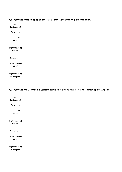|                                  | Q3: Why was Philip II of Spain seen as a significant threat to Elizabeth's reign? |
|----------------------------------|-----------------------------------------------------------------------------------|
| Intro<br>(background):           |                                                                                   |
| First point:                     |                                                                                   |
| Info for first<br>point:         |                                                                                   |
| Significance of<br>first point:  |                                                                                   |
| Second point:                    |                                                                                   |
| Info for second<br>point:        |                                                                                   |
| Significance of<br>second point: |                                                                                   |

| Q3: Why was the weather a significant factor in explaining reasons for the defeat of the Armada? |  |
|--------------------------------------------------------------------------------------------------|--|
| Intro                                                                                            |  |
| (background):                                                                                    |  |
| First point:                                                                                     |  |
| Info for first                                                                                   |  |
| point:                                                                                           |  |
| Significance of                                                                                  |  |
| first point:                                                                                     |  |
| Second point:                                                                                    |  |
| Info for second                                                                                  |  |
| point:                                                                                           |  |
| Significance of                                                                                  |  |
| second point:                                                                                    |  |
|                                                                                                  |  |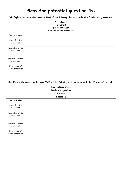## **Plans for potential question 4s:**

| Q4: Explain the connection between TWO of the following that are to do with Elizabethan government. |  |  |
|-----------------------------------------------------------------------------------------------------|--|--|
| Privy Council<br>Parliament<br>Lord Lieutenant<br>Justices of the Peace(JPs)                        |  |  |
| Factors chosen:                                                                                     |  |  |
| Reason for first<br>connection:                                                                     |  |  |
| Explanation of fist<br>connection:                                                                  |  |  |
| Reason for second<br>connection:                                                                    |  |  |
| Explanation of<br>second connection:                                                                |  |  |

| Q4: Explain the connection between TWO of the following that are to do with the lifestyle of the rich. |                  |  |
|--------------------------------------------------------------------------------------------------------|------------------|--|
| New building styles                                                                                    |                  |  |
| Landscaped gardens                                                                                     |                  |  |
|                                                                                                        | Fashion          |  |
|                                                                                                        | <b>Education</b> |  |
| Factors chosen:                                                                                        |                  |  |
| Reason for first<br>connection:                                                                        |                  |  |
| Explanation of fist<br>connection:                                                                     |                  |  |
| Reason for second<br>connection:                                                                       |                  |  |
| Explanation of<br>second connection:                                                                   |                  |  |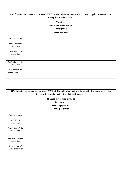| Q4: Explain the connection between TWO of the following that are to do with popular entertainment<br>during Elizabethan times. |                         |
|--------------------------------------------------------------------------------------------------------------------------------|-------------------------|
| Theatres,                                                                                                                      |                         |
|                                                                                                                                | Bear- and bull-baiting, |
| Cockfighting,                                                                                                                  |                         |
|                                                                                                                                | Large crowds.           |
|                                                                                                                                |                         |
| Factors chosen:                                                                                                                |                         |
| Reason for first                                                                                                               |                         |
| connection:                                                                                                                    |                         |
| Explanation of fist                                                                                                            |                         |
| connection:                                                                                                                    |                         |
|                                                                                                                                |                         |
| Reason for second                                                                                                              |                         |
| connection:                                                                                                                    |                         |
| Explanation of                                                                                                                 |                         |
| second connection:                                                                                                             |                         |
|                                                                                                                                |                         |

| Q4: Explain the connection between TWO of the following that are to do with the reasons for the<br>increase in poverty during the sixteenth century: |                          |
|------------------------------------------------------------------------------------------------------------------------------------------------------|--------------------------|
| Changes in farming methods                                                                                                                           |                          |
|                                                                                                                                                      | <b>Bad harvests</b>      |
|                                                                                                                                                      | Rural depopulation       |
|                                                                                                                                                      | <b>Rising population</b> |
|                                                                                                                                                      |                          |
| Factors chosen:                                                                                                                                      |                          |
| Reason for first                                                                                                                                     |                          |
| connection:                                                                                                                                          |                          |
| Explanation of fist                                                                                                                                  |                          |
| connection:                                                                                                                                          |                          |
|                                                                                                                                                      |                          |
| Reason for second                                                                                                                                    |                          |
| connection:                                                                                                                                          |                          |
| Explanation of                                                                                                                                       |                          |
| second connection:                                                                                                                                   |                          |
|                                                                                                                                                      |                          |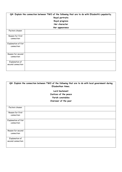| Q4: Explain the connection between TWO of the following that are to do with Elizabeth's popularity. |                |  |
|-----------------------------------------------------------------------------------------------------|----------------|--|
| Royal portraits                                                                                     |                |  |
| Royal progress                                                                                      |                |  |
| Her character                                                                                       |                |  |
|                                                                                                     | Her appearance |  |
| Factors chosen:                                                                                     |                |  |
| Reason for first<br>connection:                                                                     |                |  |
| Explanation of fist<br>connection:                                                                  |                |  |
| Reason for second<br>connection:                                                                    |                |  |
| Explanation of<br>second connection:                                                                |                |  |

|                     | Q4: Explain the connection between TWO of the following that are to do with local government during<br>Elizabethan times. |  |  |
|---------------------|---------------------------------------------------------------------------------------------------------------------------|--|--|
|                     | Lord lieutenant                                                                                                           |  |  |
|                     | Justices of the peace                                                                                                     |  |  |
|                     | Parish constables                                                                                                         |  |  |
|                     | Overseer of the poor                                                                                                      |  |  |
|                     |                                                                                                                           |  |  |
| Factors chosen:     |                                                                                                                           |  |  |
| Reason for first    |                                                                                                                           |  |  |
| connection:         |                                                                                                                           |  |  |
| Explanation of fist |                                                                                                                           |  |  |
| connection:         |                                                                                                                           |  |  |
|                     |                                                                                                                           |  |  |
| Reason for second   |                                                                                                                           |  |  |
| connection:         |                                                                                                                           |  |  |
| Explanation of      |                                                                                                                           |  |  |
| second connection:  |                                                                                                                           |  |  |
|                     |                                                                                                                           |  |  |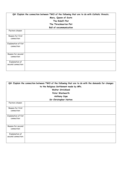| Q4: Explain the connection between TWO of the following that are to do with Catholic threats.<br>Mary, Queen of Scots<br>The Ridolfi Plot<br>The Throckmorton Plot<br><b>Bull of excommunication</b> |  |  |
|------------------------------------------------------------------------------------------------------------------------------------------------------------------------------------------------------|--|--|
| Factors chosen:                                                                                                                                                                                      |  |  |
| Reason for first<br>connection:                                                                                                                                                                      |  |  |
| Explanation of fist<br>connection:                                                                                                                                                                   |  |  |
| Reason for second<br>connection:                                                                                                                                                                     |  |  |
| Explanation of<br>second connection:                                                                                                                                                                 |  |  |

| Q4: Explain the connection between TWO of the following that are to do with the demands for changes<br>to the Religious Settlement made by MPs.<br>Walter Strickland<br>Peter Wentworth<br>Anthony Cope<br>Sir Christopher Hatton |  |
|-----------------------------------------------------------------------------------------------------------------------------------------------------------------------------------------------------------------------------------|--|
| Factors chosen:                                                                                                                                                                                                                   |  |
| Reason for first<br>connection:                                                                                                                                                                                                   |  |
| Explanation of fist<br>connection:                                                                                                                                                                                                |  |
| Reason for second<br>connection:                                                                                                                                                                                                  |  |
| Explanation of<br>second connection:                                                                                                                                                                                              |  |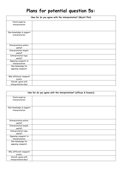## **Plans for potential question 5s:**

| How far do you agree with the interpretation? (Wyatt Plot) |  |
|------------------------------------------------------------|--|
| Points made by<br>interpretation:                          |  |
|                                                            |  |
| Own knowledge to support                                   |  |
| interpretation:                                            |  |
|                                                            |  |
|                                                            |  |
| Interpretation author,<br>useful?                          |  |
| Interpretation length,                                     |  |
| useful?                                                    |  |
| Interpretation type,<br>useful?                            |  |
| Opposing viewpoint to                                      |  |
| interpretation:                                            |  |
| Own knowledge for                                          |  |
| opposing viewpoint:                                        |  |
| Why different viewpoint                                    |  |
| exists:                                                    |  |
| Overall, agree with                                        |  |
| interpretation why?                                        |  |

| How far do you agree with the interpretation? (offices & favours) |  |
|-------------------------------------------------------------------|--|
| Points made by                                                    |  |
| interpretation:                                                   |  |
|                                                                   |  |
| Own knowledge to support                                          |  |
| interpretation:                                                   |  |
|                                                                   |  |
|                                                                   |  |
| Interpretation author,                                            |  |
| useful?                                                           |  |
| Interpretation length,                                            |  |
| useful?                                                           |  |
| Interpretation type,                                              |  |
| useful?                                                           |  |
| Opposing viewpoint to                                             |  |
| interpretation:                                                   |  |
| Own knowledge for                                                 |  |
| opposing viewpoint:                                               |  |
|                                                                   |  |
| Why different viewpoint                                           |  |
| exists:                                                           |  |
| Overall, agree with                                               |  |
| interpretation why?                                               |  |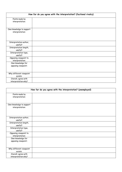| How far do you agree with the interpretation? (factional rivalry) |  |  |
|-------------------------------------------------------------------|--|--|
| Points made by                                                    |  |  |
| interpretation:                                                   |  |  |
| Own knowledge to support                                          |  |  |
| interpretation:                                                   |  |  |
|                                                                   |  |  |
| Interpretation author,<br>useful?                                 |  |  |
| Interpretation length,<br>useful?                                 |  |  |
| Interpretation type,<br>useful?                                   |  |  |
| Opposing viewpoint to<br>interpretation:                          |  |  |
| Own knowledge for<br>opposing viewpoint:                          |  |  |
| Why different viewpoint<br>exists:                                |  |  |
|                                                                   |  |  |
| Overall, agree with<br>interpretation why?                        |  |  |

| How far do you agree with the interpretation? (unemployed) |  |  |
|------------------------------------------------------------|--|--|
| Points made by                                             |  |  |
| interpretation:                                            |  |  |
| Own knowledge to support                                   |  |  |
| interpretation:                                            |  |  |
| Interpretation author,                                     |  |  |
| useful?                                                    |  |  |
| Interpretation length,<br>useful?                          |  |  |
| Interpretation type,<br>useful?                            |  |  |
| Opposing viewpoint to<br>interpretation:                   |  |  |
| Own knowledge for<br>opposing viewpoint:                   |  |  |
| Why different viewpoint                                    |  |  |
| exists:                                                    |  |  |
| Overall, agree with<br>interpretation why?                 |  |  |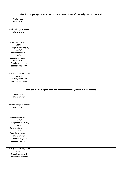| How far do you agree with the interpretation? (aims of the Religious Settlement) |  |  |
|----------------------------------------------------------------------------------|--|--|
| Points made by                                                                   |  |  |
| interpretation:                                                                  |  |  |
| Own knowledge to support                                                         |  |  |
| interpretation:                                                                  |  |  |
| Interpretation author,                                                           |  |  |
| useful?                                                                          |  |  |
| Interpretation length,<br>useful?                                                |  |  |
| Interpretation type,<br>useful?                                                  |  |  |
| Opposing viewpoint to<br>interpretation:                                         |  |  |
| Own knowledge for<br>opposing viewpoint:                                         |  |  |
| Why different viewpoint<br>exists:                                               |  |  |
| Overall, agree with<br>interpretation why?                                       |  |  |

| How far do you agree with the interpretation? (Religious Settlement) |  |  |
|----------------------------------------------------------------------|--|--|
| Points made by                                                       |  |  |
| interpretation:                                                      |  |  |
| Own knowledge to support                                             |  |  |
| interpretation:                                                      |  |  |
| Interpretation author,                                               |  |  |
| useful?                                                              |  |  |
| Interpretation length,<br>useful?                                    |  |  |
| Interpretation type,<br>useful?                                      |  |  |
| Opposing viewpoint to<br>interpretation:                             |  |  |
| Own knowledge for<br>opposing viewpoint:                             |  |  |
| Why different viewpoint<br>exists:                                   |  |  |
| Overall, agree with<br>interpretation why?                           |  |  |